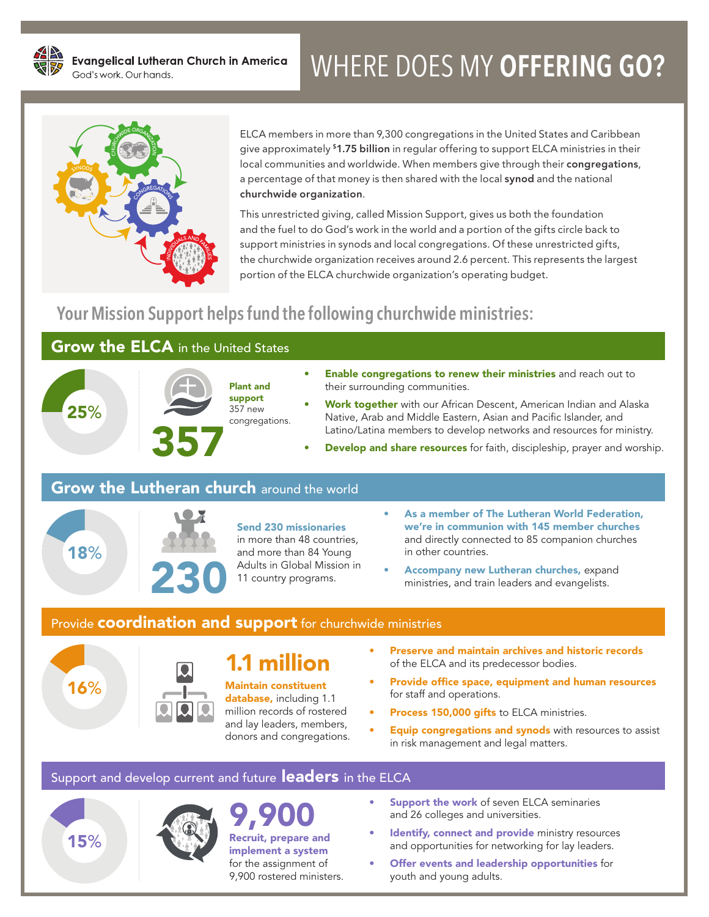# WHERE DOES MY **OFFERING GO?**



ELCA members in more than 9,300 congregations in the United States and Caribbean give approximately <sup>\$1.75</sup> billion in regular offering to support ELCA ministries in their local communities and worldwide. When members give through their congregations, a percentage of that money is then shared with the local synod and the national churchwide organization.

This unrestricted giving, called Mission Support, gives us both the foundation and the fuel to do God's work in the world and a portion of the gifts circle back to support ministries in synods and local congregations. Of these unrestricted gifts, the churchwide organization receives around 2.6 percent. This represents the largest portion of the ELCA churchwide organization's operating budget.

## **Your Mission Support helps fund the following churchwide ministries:**

### **Grow the ELCA** in the United States



- **Enable congregations to renew their ministries** and reach out to their surrounding communities.
- Work together with our African Descent, American Indian and Alaska Native, Arab and Middle Eastern, Asian and Pacific Islander, and Latino/Latina members to develop networks and resources for ministry.
- **Develop and share resources** for faith, discipleship, prayer and worship.

### **Grow the Lutheran church around the world**



#### Send 230 missionaries

in more than 48 countries, and more than 84 Young Adults in Global Mission in 11 country programs.

- As a member of The Lutheran World Federation, we're in communion with 145 member churches and directly connected to 85 companion churches in other countries.
- Accompany new Lutheran churches, expand ministries, and train leaders and evangelists.

#### Provide **coordination and support** for churchwide ministries



15%

## 1.1 million

database, including 1.1 million records of rostered and lay leaders, members, donors and congregations.

- Preserve and maintain archives and historic records of the ELCA and its predecessor bodies.
- Provide office space, equipment and human resources for staff and operations.
- Process 150,000 gifts to ELCA ministries.
- **Equip congregations and synods** with resources to assist in risk management and legal matters.

#### Support and develop current and future leaders in the ELCA



9,9 Recruit, prepare and implement a system for the assignment of 9,900 rostered ministers.

- **Support the work of seven ELCA seminaries** and 26 colleges and universities.
- Identify, connect and provide ministry resources and opportunities for networking for lay leaders.
- Offer events and leadership opportunities for youth and young adults.